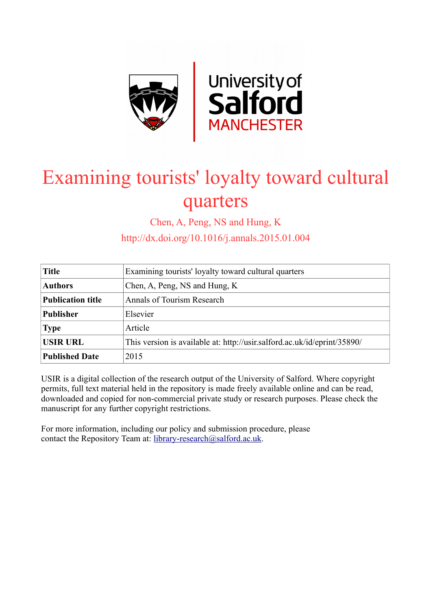

# Examining tourists' loyalty toward cultural quarters

Chen, A, Peng, NS and Hung, K

http://dx.doi.org/10.1016/j.annals.2015.01.004

| <b>Title</b>             | Examining tourists' loyalty toward cultural quarters                     |
|--------------------------|--------------------------------------------------------------------------|
| <b>Authors</b>           | Chen, A, Peng, NS and Hung, K                                            |
| <b>Publication title</b> | Annals of Tourism Research                                               |
| <b>Publisher</b>         | Elsevier                                                                 |
| <b>Type</b>              | Article                                                                  |
| <b>USIR URL</b>          | This version is available at: http://usir.salford.ac.uk/id/eprint/35890/ |
| <b>Published Date</b>    | 2015                                                                     |

USIR is a digital collection of the research output of the University of Salford. Where copyright permits, full text material held in the repository is made freely available online and can be read, downloaded and copied for non-commercial private study or research purposes. Please check the manuscript for any further copyright restrictions.

For more information, including our policy and submission procedure, please contact the Repository Team at: [library-research@salford.ac.uk.](mailto:library-research@salford.ac.uk)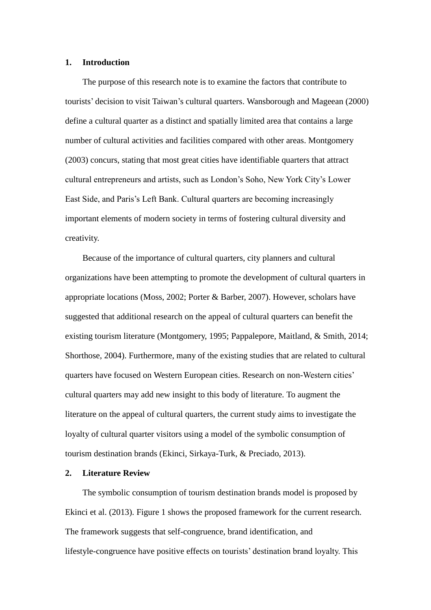#### **1. Introduction**

The purpose of this research note is to examine the factors that contribute to tourists' decision to visit Taiwan's cultural quarters. Wansborough and Mageean (2000) define a cultural quarter as a distinct and spatially limited area that contains a large number of cultural activities and facilities compared with other areas. Montgomery (2003) concurs, stating that most great cities have identifiable quarters that attract cultural entrepreneurs and artists, such as London's Soho, New York City's Lower East Side, and Paris's Left Bank. Cultural quarters are becoming increasingly important elements of modern society in terms of fostering cultural diversity and creativity.

Because of the importance of cultural quarters, city planners and cultural organizations have been attempting to promote the development of cultural quarters in appropriate locations (Moss, 2002; Porter & Barber, 2007). However, scholars have suggested that additional research on the appeal of cultural quarters can benefit the existing tourism literature (Montgomery, 1995; Pappalepore, Maitland, & Smith, 2014; Shorthose, 2004). Furthermore, many of the existing studies that are related to cultural quarters have focused on Western European cities. Research on non-Western cities' cultural quarters may add new insight to this body of literature. To augment the literature on the appeal of cultural quarters, the current study aims to investigate the loyalty of cultural quarter visitors using a model of the symbolic consumption of tourism destination brands (Ekinci, Sirkaya-Turk, & Preciado, 2013).

## **2. Literature Review**

The symbolic consumption of tourism destination brands model is proposed by Ekinci et al. (2013). Figure 1 shows the proposed framework for the current research. The framework suggests that self-congruence, brand identification, and lifestyle-congruence have positive effects on tourists' destination brand loyalty. This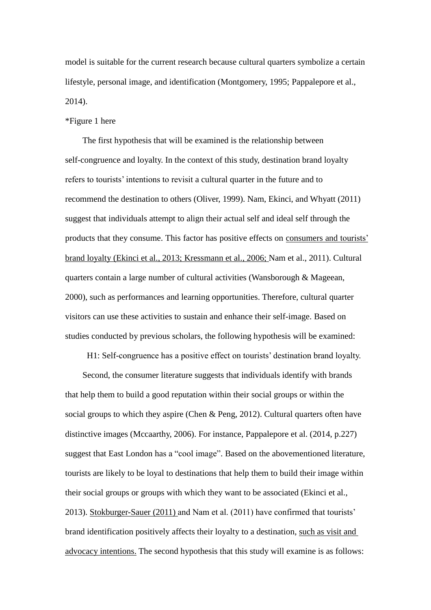model is suitable for the current research because cultural quarters symbolize a certain lifestyle, personal image, and identification (Montgomery, 1995; Pappalepore et al., 2014).

#### \*Figure 1 here

The first hypothesis that will be examined is the relationship between self-congruence and loyalty. In the context of this study, destination brand loyalty refers to tourists' intentions to revisit a cultural quarter in the future and to recommend the destination to others (Oliver, 1999). Nam, Ekinci, and Whyatt (2011) suggest that individuals attempt to align their actual self and ideal self through the products that they consume. This factor has positive effects on consumers and tourists' brand loyalty (Ekinci et al., 2013; Kressmann et al., 2006; Nam et al., 2011). Cultural quarters contain a large number of cultural activities (Wansborough & Mageean, 2000), such as performances and learning opportunities. Therefore, cultural quarter visitors can use these activities to sustain and enhance their self-image. Based on studies conducted by previous scholars, the following hypothesis will be examined:

H1: Self-congruence has a positive effect on tourists' destination brand loyalty.

Second, the consumer literature suggests that individuals identify with brands that help them to build a good reputation within their social groups or within the social groups to which they aspire (Chen & Peng, 2012). Cultural quarters often have distinctive images (Mccaarthy, 2006). For instance, Pappalepore et al. (2014, p.227) suggest that East London has a "cool image". Based on the abovementioned literature, tourists are likely to be loyal to destinations that help them to build their image within their social groups or groups with which they want to be associated (Ekinci et al., 2013). Stokburger-Sauer (2011) and Nam et al. (2011) have confirmed that tourists' brand identification positively affects their loyalty to a destination, such as visit and advocacy intentions. The second hypothesis that this study will examine is as follows: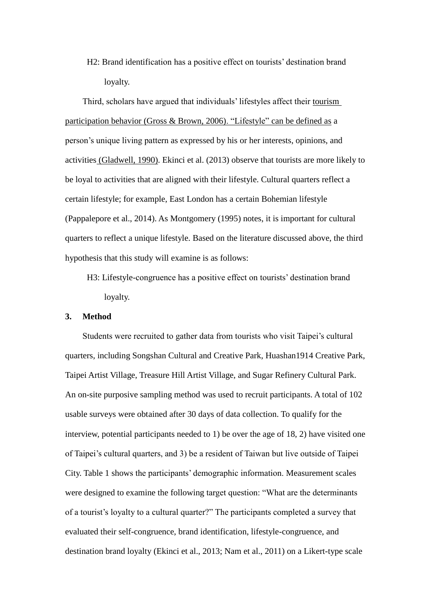H2: Brand identification has a positive effect on tourists' destination brand loyalty.

Third, scholars have argued that individuals' lifestyles affect their tourism participation behavior (Gross & Brown, 2006). "Lifestyle" can be defined as a person's unique living pattern as expressed by his or her interests, opinions, and activities (Gladwell, 1990). Ekinci et al. (2013) observe that tourists are more likely to be loyal to activities that are aligned with their lifestyle. Cultural quarters reflect a certain lifestyle; for example, East London has a certain Bohemian lifestyle (Pappalepore et al., 2014). As Montgomery (1995) notes, it is important for cultural quarters to reflect a unique lifestyle. Based on the literature discussed above, the third hypothesis that this study will examine is as follows:

H3: Lifestyle-congruence has a positive effect on tourists' destination brand loyalty.

#### **3. Method**

Students were recruited to gather data from tourists who visit Taipei's cultural quarters, including Songshan Cultural and Creative Park, Huashan1914 Creative Park, Taipei Artist Village, Treasure Hill Artist Village, and Sugar Refinery Cultural Park. An on-site purposive sampling method was used to recruit participants. A total of 102 usable surveys were obtained after 30 days of data collection. To qualify for the interview, potential participants needed to 1) be over the age of 18, 2) have visited one of Taipei's cultural quarters, and 3) be a resident of Taiwan but live outside of Taipei City. Table 1 shows the participants' demographic information. Measurement scales were designed to examine the following target question: "What are the determinants of a tourist's loyalty to a cultural quarter?" The participants completed a survey that evaluated their self-congruence, brand identification, lifestyle-congruence, and destination brand loyalty (Ekinci et al., 2013; Nam et al., 2011) on a Likert-type scale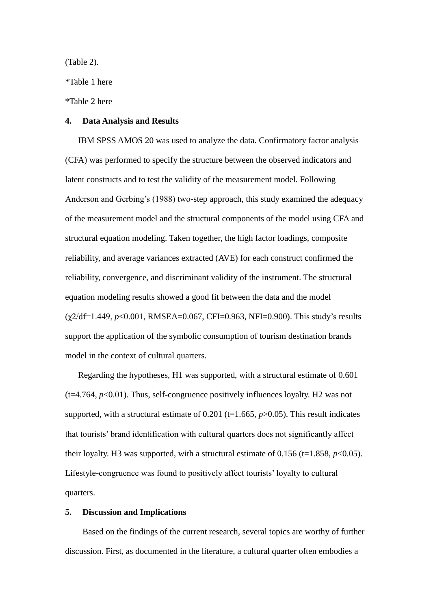(Table 2).

\*Table 1 here

\*Table 2 here

#### **4. Data Analysis and Results**

IBM SPSS AMOS 20 was used to analyze the data. Confirmatory factor analysis (CFA) was performed to specify the structure between the observed indicators and latent constructs and to test the validity of the measurement model. Following Anderson and Gerbing's (1988) two-step approach, this study examined the adequacy of the measurement model and the structural components of the model using CFA and structural equation modeling. Taken together, the high factor loadings, composite reliability, and average variances extracted (AVE) for each construct confirmed the reliability, convergence, and discriminant validity of the instrument. The structural equation modeling results showed a good fit between the data and the model (χ2/df=1.449, *p*<0.001, RMSEA=0.067, CFI=0.963, NFI=0.900). This study's results support the application of the symbolic consumption of tourism destination brands model in the context of cultural quarters.

Regarding the hypotheses, H1 was supported, with a structural estimate of 0.601  $(t=4.764, p<0.01)$ . Thus, self-congruence positively influences loyalty. H2 was not supported, with a structural estimate of  $0.201$  (t=1.665,  $p > 0.05$ ). This result indicates that tourists' brand identification with cultural quarters does not significantly affect their loyalty. H3 was supported, with a structural estimate of  $0.156$  (t=1.858,  $p<0.05$ ). Lifestyle-congruence was found to positively affect tourists' loyalty to cultural quarters.

#### **5. Discussion and Implications**

Based on the findings of the current research, several topics are worthy of further discussion. First, as documented in the literature, a cultural quarter often embodies a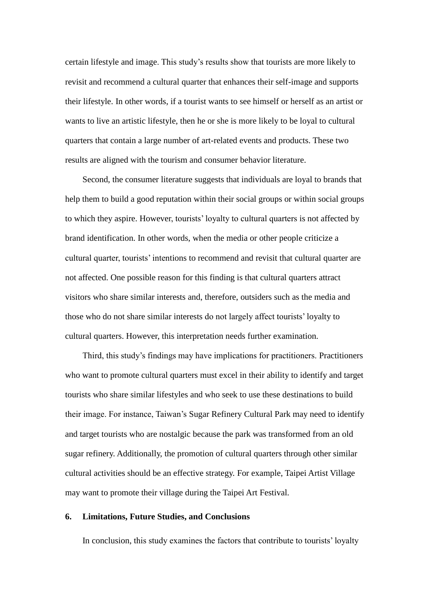certain lifestyle and image. This study's results show that tourists are more likely to revisit and recommend a cultural quarter that enhances their self-image and supports their lifestyle. In other words, if a tourist wants to see himself or herself as an artist or wants to live an artistic lifestyle, then he or she is more likely to be loyal to cultural quarters that contain a large number of art-related events and products. These two results are aligned with the tourism and consumer behavior literature.

Second, the consumer literature suggests that individuals are loyal to brands that help them to build a good reputation within their social groups or within social groups to which they aspire. However, tourists' loyalty to cultural quarters is not affected by brand identification. In other words, when the media or other people criticize a cultural quarter, tourists' intentions to recommend and revisit that cultural quarter are not affected. One possible reason for this finding is that cultural quarters attract visitors who share similar interests and, therefore, outsiders such as the media and those who do not share similar interests do not largely affect tourists' loyalty to cultural quarters. However, this interpretation needs further examination.

Third, this study's findings may have implications for practitioners. Practitioners who want to promote cultural quarters must excel in their ability to identify and target tourists who share similar lifestyles and who seek to use these destinations to build their image. For instance, Taiwan's Sugar Refinery Cultural Park may need to identify and target tourists who are nostalgic because the park was transformed from an old sugar refinery. Additionally, the promotion of cultural quarters through other similar cultural activities should be an effective strategy. For example, Taipei Artist Village may want to promote their village during the Taipei Art Festival.

#### **6. Limitations, Future Studies, and Conclusions**

In conclusion, this study examines the factors that contribute to tourists' loyalty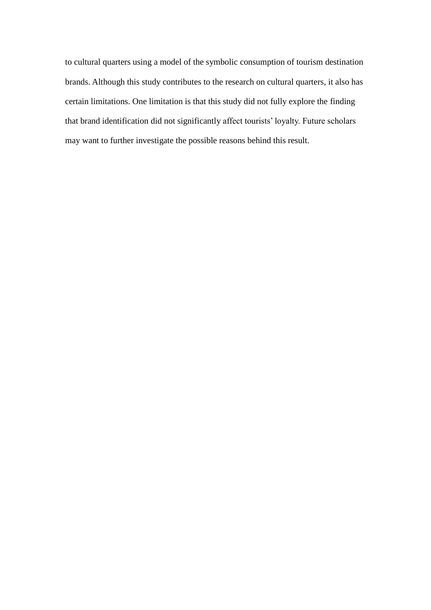to cultural quarters using a model of the symbolic consumption of tourism destination brands. Although this study contributes to the research on cultural quarters, it also has certain limitations. One limitation is that this study did not fully explore the finding that brand identification did not significantly affect tourists' loyalty. Future scholars may want to further investigate the possible reasons behind this result.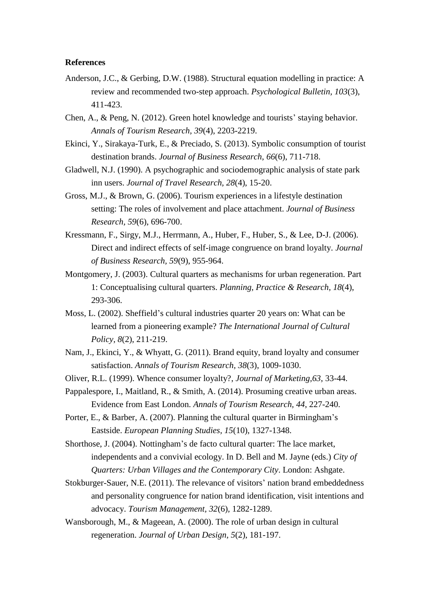### **References**

- Anderson, J.C., & Gerbing, D.W. (1988). Structural equation modelling in practice: A review and recommended two-step approach. *Psychological Bulletin, 103*(3), 411-423.
- Chen, A., & Peng, N. (2012). Green hotel knowledge and tourists' staying behavior. *Annals of Tourism Research, 39*(4), 2203-2219.
- Ekinci, Y., Sirakaya-Turk, E., & Preciado, S. (2013). Symbolic consumption of tourist destination brands. *Journal of Business Research*, *66*(6), 711-718.
- Gladwell, N.J. (1990). A psychographic and sociodemographic analysis of state park inn users. *Journal of Travel Research, 28*(4), 15-20.
- Gross, M.J., & Brown, G. (2006). Tourism experiences in a lifestyle destination setting: The roles of involvement and place attachment. *Journal of Business Research, 59*(6), 696-700.
- Kressmann, F., Sirgy, M.J., Herrmann, A., Huber, F., Huber, S., & Lee, D-J. (2006). Direct and indirect effects of self-image congruence on brand loyalty. *Journal of Business Research, 59*(9), 955-964.
- Montgomery, J. (2003). Cultural quarters as mechanisms for urban regeneration. Part 1: Conceptualising cultural quarters. *Planning, Practice & Research, 18*(4), 293-306.
- Moss, L. (2002). Sheffield's cultural industries quarter 20 years on: What can be learned from a pioneering example? *The International Journal of Cultural Policy, 8*(2), 211-219.
- Nam, J., Ekinci, Y., & Whyatt, G. (2011). Brand equity, brand loyalty and consumer satisfaction. *Annals of Tourism Research, 38*(3), 1009-1030.
- Oliver, R.L. (1999). Whence consumer loyalty?, *Journal of Marketing,63*, 33-44.
- Pappalespore, I., Maitland, R., & Smith, A. (2014). Prosuming creative urban areas. Evidence from East London. *Annals of Tourism Research, 44*, 227-240.
- Porter, E., & Barber, A. (2007). Planning the cultural quarter in Birmingham's Eastside. *European Planning Studies, 15*(10), 1327-1348.
- Shorthose, J. (2004). Nottingham's de facto cultural quarter: The lace market, independents and a convivial ecology. In D. Bell and M. Jayne (eds.) *City of Quarters: Urban Villages and the Contemporary City*. London: Ashgate.
- Stokburger-Sauer, N.E. (2011). The relevance of visitors' nation brand embeddedness and personality congruence for nation brand identification, visit intentions and advocacy. *Tourism Management, 32*(6)*,* 1282-1289.
- Wansborough, M., & Mageean, A. (2000). The role of urban design in cultural regeneration. *Journal of Urban Design, 5*(2), 181-197.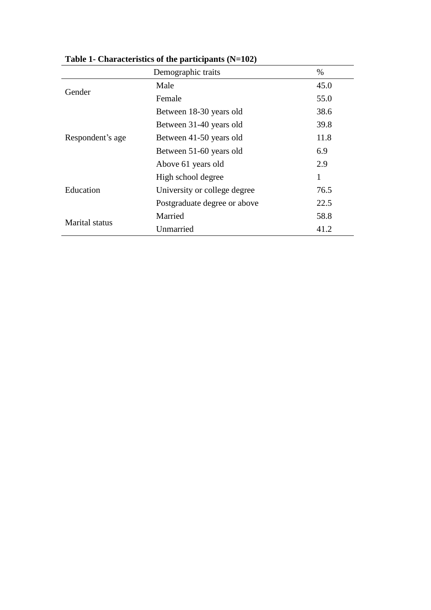|                  | Demographic traits           | $\%$         |
|------------------|------------------------------|--------------|
| Gender           | Male                         | 45.0         |
|                  | Female                       | 55.0         |
|                  | Between 18-30 years old      | 38.6         |
|                  | Between 31-40 years old      | 39.8         |
| Respondent's age | Between 41-50 years old      | 11.8         |
|                  | Between 51-60 years old      | 6.9          |
|                  | Above 61 years old           | 2.9          |
|                  | High school degree           | $\mathbf{1}$ |
| Education        | University or college degree | 76.5         |
|                  | Postgraduate degree or above | 22.5         |
|                  | Married                      | 58.8         |
| Marital status   | Unmarried                    | 41.2         |

**Table 1- Characteristics of the participants (N=102)**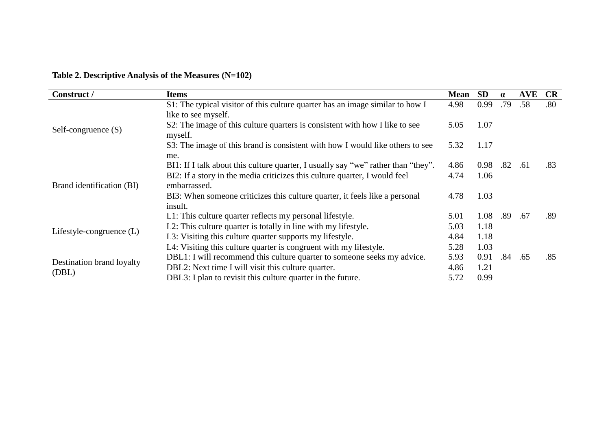**Table 2. Descriptive Analysis of the Measures (N=102)**

| Construct /                        | <b>Items</b>                                                                               | <b>Mean</b> | <b>SD</b> | $\alpha$ | AVE | <b>CR</b> |
|------------------------------------|--------------------------------------------------------------------------------------------|-------------|-----------|----------|-----|-----------|
| Self-congruence $(S)$              | S1: The typical visitor of this culture quarter has an image similar to how I              | 4.98        | 0.99      | .79      | .58 | .80       |
|                                    | like to see myself.                                                                        |             |           |          |     |           |
|                                    | S2: The image of this culture quarters is consistent with how I like to see<br>myself.     | 5.05        | 1.07      |          |     |           |
|                                    | S3: The image of this brand is consistent with how I would like others to see<br>me.       | 5.32        | 1.17      |          |     |           |
| Brand identification (BI)          | BI1: If I talk about this culture quarter, I usually say "we" rather than "they".          | 4.86        | 0.98      | .82      | .61 | .83       |
|                                    | BI2: If a story in the media criticizes this culture quarter, I would feel<br>embarrassed. | 4.74        | 1.06      |          |     |           |
|                                    | BI3: When someone criticizes this culture quarter, it feels like a personal<br>insult.     | 4.78        | 1.03      |          |     |           |
| Lifestyle-congruence $(L)$         | L1: This culture quarter reflects my personal lifestyle.                                   | 5.01        | 1.08      | .89      | .67 | .89       |
|                                    | L2: This culture quarter is totally in line with my lifestyle.                             | 5.03        | 1.18      |          |     |           |
|                                    | L3: Visiting this culture quarter supports my lifestyle.                                   | 4.84        | 1.18      |          |     |           |
|                                    | L4: Visiting this culture quarter is congruent with my lifestyle.                          | 5.28        | 1.03      |          |     |           |
| Destination brand loyalty<br>(DBL) | DBL1: I will recommend this culture quarter to someone seeks my advice.                    | 5.93        | 0.91      | .84      | .65 | .85       |
|                                    | DBL2: Next time I will visit this culture quarter.                                         | 4.86        | 1.21      |          |     |           |
|                                    | DBL3: I plan to revisit this culture quarter in the future.                                | 5.72        | 0.99      |          |     |           |